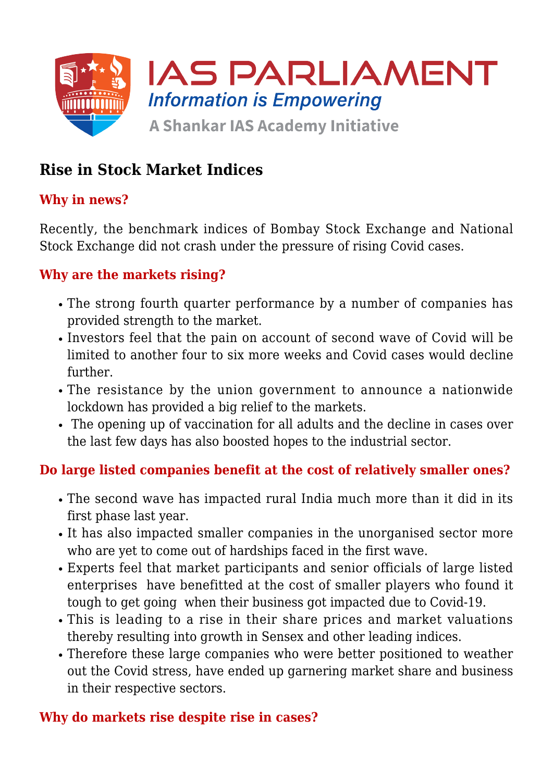

# **Rise in Stock Market Indices**

## **Why in news?**

Recently, the benchmark indices of Bombay Stock Exchange and National Stock Exchange did not crash under the pressure of rising Covid cases.

### **Why are the markets rising?**

- The strong fourth quarter performance by a number of companies has provided strength to the market.
- Investors feel that the pain on account of second wave of Covid will be limited to another four to six more weeks and Covid cases would decline further.
- The resistance by the union government to announce a nationwide lockdown has provided a big relief to the markets.
- The opening up of vaccination for all adults and the decline in cases over the last few days has also boosted hopes to the industrial sector.

#### **Do large listed companies benefit at the cost of relatively smaller ones?**

- The second wave has impacted rural India much more than it did in its first phase last year.
- It has also impacted smaller companies in the unorganised sector more who are yet to come out of hardships faced in the first wave.
- Experts feel that market participants and senior officials of large listed enterprises have benefitted at the cost of smaller players who found it tough to get going when their business got impacted due to Covid-19.
- This is leading to a rise in their share prices and market valuations thereby resulting into growth in Sensex and other leading indices.
- Therefore these large companies who were better positioned to weather out the Covid stress, have ended up garnering market share and business in their respective sectors.

#### **Why do markets rise despite rise in cases?**